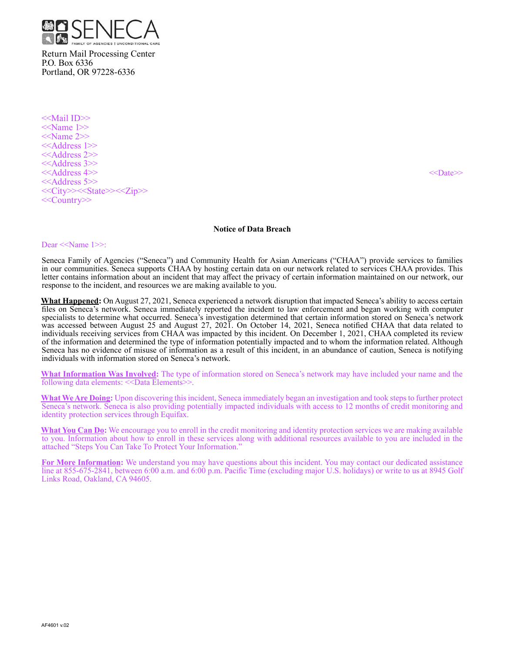

Return Mail Processing Center P.O. Box 6336 Portland, OR 97228-6336

<<Mail ID>> <<Name 1>> <<Name 2>> <<Address 1>> <<Address 2>> <<Address 3>> <<Address 4>> <<Date>> <<Address 5>> <<City>><<State>><<Zip>> <<Country>>

### **Notice of Data Breach**

#### Dear <<Name 1>>:

Seneca Family of Agencies ("Seneca") and Community Health for Asian Americans ("CHAA") provide services to families in our communities. Seneca supports CHAA by hosting certain data on our network related to services CHAA provides. This letter contains information about an incident that may affect the privacy of certain information maintained on our network, our response to the incident, and resources we are making available to you.

**What Happened:** On August 27, 2021, Seneca experienced a network disruption that impacted Seneca's ability to access certain files on Seneca's network. Seneca immediately reported the incident to law enforcement and began working with computer specialists to determine what occurred. Seneca's investigation determined that certain information stored on Seneca's network was accessed between August 25 and August 27, 2021. On October 14, 2021, Seneca notified CHAA that data related to individuals receiving services from CHAA was impacted by this incident. On December 1, 2021, CHAA completed its review of the information and determined the type of information potentially impacted and to whom the information related. Although Seneca has no evidence of misuse of information as a result of this incident, in an abundance of caution, Seneca is notifying individuals with information stored on Seneca's network.

**What Information Was Involved:** The type of information stored on Seneca's network may have included your name and the following data elements: <<Data Elements>>.

**What We Are Doing:** Upon discovering this incident, Seneca immediately began an investigation and took steps to further protect Seneca's network. Seneca is also providing potentially impacted individuals with access to 12 months of credit monitoring and identity protection services through Equifax.

**What You Can Do:** We encourage you to enroll in the credit monitoring and identity protection services we are making available to you. Information about how to enroll in these services along with additional resources available to you are included in the attached "Steps You Can Take To Protect Your Information."

**For More Information:** We understand you may have questions about this incident. You may contact our dedicated assistance line at 855-675-2841, between 6:00 a.m. and 6:00 p.m. Pacific Time (excluding major U.S. holidays) or write to us at 8945 Golf Links Road, Oakland, CA 94605.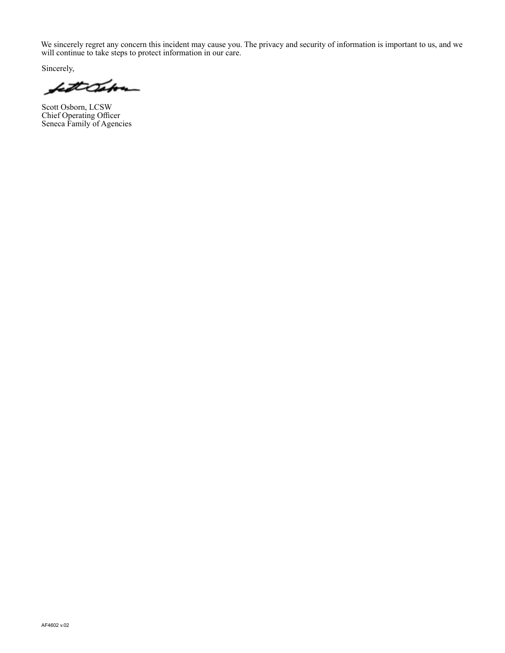We sincerely regret any concern this incident may cause you. The privacy and security of information is important to us, and we will continue to take steps to protect information in our care.

Sincerely,

fattCabon

Scott Osborn, LCSW Chief Operating Officer Seneca Family of Agencies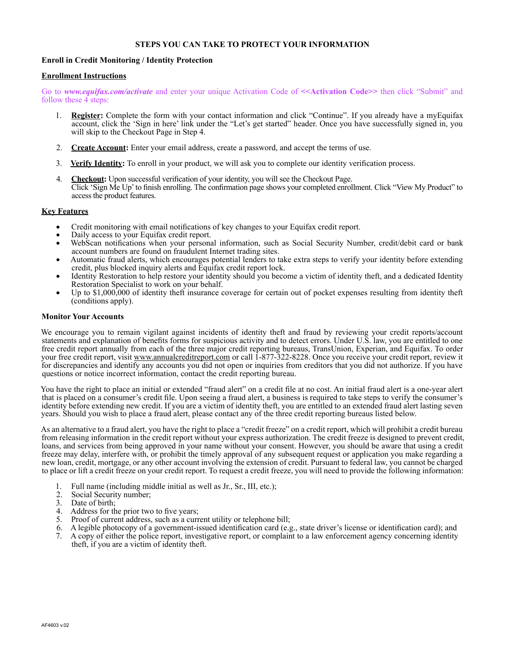## **STEPS YOU CAN TAKE TO PROTECT YOUR INFORMATION**

# **Enroll in Credit Monitoring / Identity Protection**

## **Enrollment Instructions**

Go to *www.equifax.com/activate* and enter your unique Activation Code of **<<Activation Code>>** then click "Submit" and follow these 4 steps:

- 1. **Register:** Complete the form with your contact information and click "Continue". If you already have a myEquifax account, click the 'Sign in here' link under the "Let's get started" header. Once you have successfully signed in, you will skip to the Checkout Page in Step 4.
- 2. **Create Account:** Enter your email address, create a password, and accept the terms of use.
- 3. **Verify Identity:** To enroll in your product, we will ask you to complete our identity verification process.
- 4. Checkout: Upon successful verification of your identity, you will see the Checkout Page. Click 'Sign Me Up' to finish enrolling. The confirmation page shows your completed enrollment. Click "View My Product" to access the product features.

# **Key Features**

- Credit monitoring with email notifications of key changes to your Equifax credit report.
- Daily access to your Equifax credit report.
- WebScan notifications when your personal information, such as Social Security Number, credit/debit card or bank account numbers are found on fraudulent Internet trading sites.
- Automatic fraud alerts, which encourages potential lenders to take extra steps to verify your identity before extending credit, plus blocked inquiry alerts and Equifax credit report lock.
- Identity Restoration to help restore your identity should you become a victim of identity theft, and a dedicated Identity Restoration Specialist to work on your behalf.
- Up to \$1,000,000 of identity theft insurance coverage for certain out of pocket expenses resulting from identity theft (conditions apply).

## **Monitor Your Accounts**

We encourage you to remain vigilant against incidents of identity theft and fraud by reviewing your credit reports/account statements and explanation of benefits forms for suspicious activity and to detect errors. Under U.S. law, you are entitled to one free credit report annually from each of the three major credit reporting bureaus, TransUnion, Experian, and Equifax. To order your free credit report, visit www.annualcreditreport.com or call 1-877-322-8228. Once you receive your credit report, review it for discrepancies and identify any accounts you did not open or inquiries from creditors that you did not authorize. If you have questions or notice incorrect information, contact the credit reporting bureau.

You have the right to place an initial or extended "fraud alert" on a credit file at no cost. An initial fraud alert is a one-year alert that is placed on a consumer's credit file. Upon seeing a fraud alert, a business is required to take steps to verify the consumer's identity before extending new credit. If you are a victim of identity theft, you are entitled to an extended fraud alert lasting seven years. Should you wish to place a fraud alert, please contact any of the three credit reporting bureaus listed below.

As an alternative to a fraud alert, you have the right to place a "credit freeze" on a credit report, which will prohibit a credit bureau from releasing information in the credit report without your express authorization. The credit freeze is designed to prevent credit, loans, and services from being approved in your name without your consent. However, you should be aware that using a credit freeze may delay, interfere with, or prohibit the timely approval of any subsequent request or application you make regarding a new loan, credit, mortgage, or any other account involving the extension of credit. Pursuant to federal law, you cannot be charged to place or lift a credit freeze on your credit report. To request a credit freeze, you will need to provide the following information:

- 1. Full name (including middle initial as well as Jr., Sr., III, etc.);<br>2. Social Security number;
- Social Security number;
- 3. Date of birth;
- 4. Address for the prior two to five years;
- 5. Proof of current address, such as a current utility or telephone bill;
- 6. A legible photocopy of a government-issued identification card (e.g., state driver's license or identification card); and
- 7. A copy of either the police report, investigative report, or complaint to a law enforcement agency concerning identity theft, if you are a victim of identity theft.